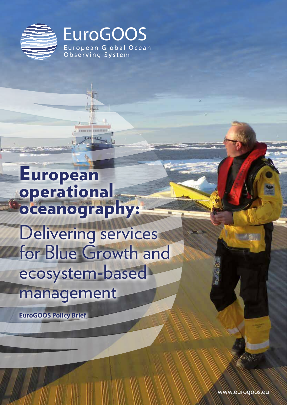

**EuroGOOS** European Global Ocean Observing System

IIKAHASH **ANG MENGENDUARKAN KEL** 1. Operational ecology service for ecosystem-based management 6 2. Advancing coastal oceanography integration 8 3. Modelling and forecasting 9. Modelling 9. Modelling 9. Modelling 9. Modelling 9. Modelling 9. Modelling 9. 4. EOOS – EUROPEAN OOS – EUROPEAN OBSERVING SYSTEM European operational oceanography: Delivering services for Blue Growth and ecosystem-based

management

**EuroGOOS Policy Brief**

www.eurogoos.eu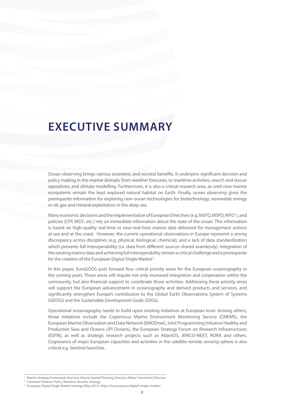# **EXECUTIVE SUMMARY**

Ocean observing brings various economic and societal benefits. It underpins significant decision and policy making in the marine domain, from weather forecasts, to maritime activities, search and rescue operations, and climate modelling. Furthermore, it is also a critical research area, as until now marine ecosystems remain the least explored natural habitat on Earth. Finally, ocean observing gives the prerequisite information for exploring new ocean technologies for biotechnology, renewable energy or oil, gas and mineral exploitation in the deep sea.

Many economic decisions and the implementation of European Directives (e.g. MSFD, MSPD, WFD<sup>1</sup>), and policies (CFP, MSS<sup>2</sup>, etc.) rely on immediate information about the state of the ocean. This information is based on high-quality real-time or near-real-time marine data delivered for management actions at sea and at the coast. However, the current operational observations in Europe represent a strong discrepancy across disciplines (e.g. physical, biological, chemical), and a lack of data standardization which prevents full interoperability (i.e. data from different sources shared seamlessly). Integration of the existing marine data and achieving full interoperability remain a critical challenge and a prerequisite for the creation of the European Digital Single Market<sup>3</sup>.

In this paper, EuroGOOS puts forward four critical priority areas for the European oceanography in the coming years. These areas will require not only increased integration and cooperation within the community, but also financial support to coordinate those activities. Addressing these priority areas will support the European advancement in oceanography and derived products and services, and significantly strengthen Europe's contribution to the Global Earth Observations System of Systems (GEOSS) and the Sustainable Development Goals (SDGs).

Operational oceanography needs to build upon existing initiatives at European level. Among others, those initiatives include the Copernicus Marine Environment Monitoring Service (CMEMS), the European Marine Observation and Data Network (EMODnet), Joint Programming Initiative Healthy and Productive Seas and Oceans (JPI Oceans), the European Strategy Forum on Research Infrastructures (ESFRI), as well as strategic research projects such as AtlantOS, JERICO-NEXT, AORA and others. Cognisance of major European capacities and activities in the satellite remote sensing sphere is also critical e.g. Sentinel launches.

<sup>1</sup> Marine Strategy Framework Directive, Marine Spatial Planning Directive, Water Framework Directive

Common Fisheries Policy, Maritime Security Strategy

<sup>3</sup> European Digital Single Market Strategy (May 2015), https://ec.europa.eu/digital-single-market/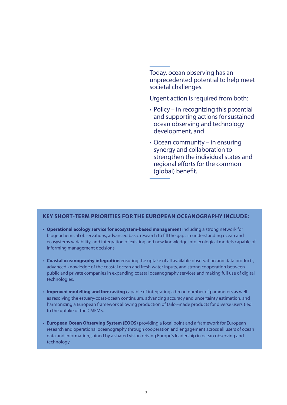Today, ocean observing has an unprecedented potential to help meet societal challenges.

Urgent action is required from both:

- Policy in recognizing this potential and supporting actions for sustained ocean observing and technology development, and
- Ocean community in ensuring synergy and collaboration to strengthen the individual states and regional efforts for the common (global) benefit.

## **KEY SHORT-TERM PRIORITIES FOR THE EUROPEAN OCEANOGRAPHY INCLUDE:**

- **Operational ecology service for ecosystem-based management** including a strong network for biogeochemical observations, advanced basic research to fill the gaps in understanding ocean and ecosystems variability, and integration of existing and new knowledge into ecological models capable of informing management decisions.
- **Coastal oceanography integration** ensuring the uptake of all available observation and data products, advanced knowledge of the coastal ocean and fresh water inputs, and strong cooperation between public and private companies in expanding coastal oceanography services and making full use of digital technologies.
- **Improved modelling and forecasting** capable of integrating a broad number of parameters as well as resolving the estuary-coast-ocean continuum, advancing accuracy and uncertainty estimation, and harmonizing a European framework allowing production of tailor-made products for diverse users tied to the uptake of the CMEMS.
- **European Ocean Observing System (EOOS)** providing a focal point and a framework for European research and operational oceanography through cooperation and engagement across all users of ocean data and information, joined by a shared vision driving Europe's leadership in ocean observing and technology.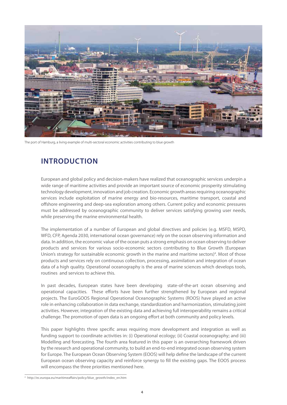

The port of Hamburg, a living example of multi-sectoral economic activities contributing to blue growth

## **INTRODUCTION**

European and global policy and decision-makers have realized that oceanographic services underpin a wide range of maritime activities and provide an important source of economic prosperity stimulating technology development, innovation and job creation. Economic growth areas requiring oceanographic services include exploitation of marine energy and bio-resources, maritime transport, coastal and offshore engineering and deep-sea exploration among others. Current policy and economic pressures must be addressed by oceanographic community to deliver services satisfying growing user needs, while preserving the marine environmental health.

The implementation of a number of European and global directives and policies (e.g. MSFD, MSPD, WFD, CFP, Agenda 2030, international ocean governance) rely on the ocean observing information and data. In addition, the economic value of the ocean puts a strong emphasis on ocean observing to deliver products and services for various socio-economic sectors contributing to Blue Growth (European Union's strategy for sustainable economic growth in the marine and maritime sectors)<sup>4</sup>. Most of those products and services rely on continuous collection, processing, assimilation and integration of ocean data of a high quality. Operational oceanography is the area of marine sciences which develops tools, routines and services to achieve this.

In past decades, European states have been developing state-of-the-art ocean observing and operational capacities. These efforts have been further strengthened by European and regional projects. The EuroGOOS Regional Operational Oceanographic Systems (ROOS) have played an active role in enhancing collaboration in data exchange, standardization and harmonization, stimulating joint activities. However, integration of the existing data and achieving full interoperability remains a critical challenge. The promotion of open data is an ongoing effort at both community and policy levels.

This paper highlights three specific areas requiring more development and integration as well as funding support to coordinate activities in: (i) Operational ecology; (ii) Coastal oceanography; and (iii) Modelling and forecasting. The fourth area featured in this paper is an overarching framework driven by the research and operational community, to build an end-to-end integrated ocean observing system for Europe. The European Ocean Observing System (EOOS) will help define the landscape of the current European ocean observing capacity and reinforce synergy to fill the existing gaps. The EOOS process will encompass the three priorities mentioned here.

<sup>4</sup> http://ec.europa.eu/maritimeaffairs/policy/blue\_growth/index\_en.htm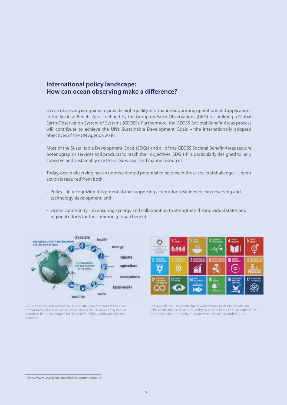## **International policy landscape: How can ocean observing make a difference?**

Ocean observing is required to provide high-quality information supporting operations and applications in the Societal Benefit Areas defined by the Group on Earth Observations (GEO) for building a Global Earth Observation System of Systems (GEOSS). Furthermore, the GEOSS Societal Benefit Areas process will contribute to achieve the UN's Sustainable Development Goals – the internationally adopted objectives of the UN Agenda 2030.

Most of the Sustainable Development Goals (SDGs) and all of the GEOSS Societal Benefit Areas require oceanographic services and products to reach their objectives. SDG 14<sup>5</sup> is particularly designed to help conserve and sustainably use the oceans, seas and marine resources.

Today, ocean observing has an unprecedented potential to help meet those societal challenges. Urgent action is required from both:

- Policy in recognizing this potential and supporting actions for sustained ocean observing and technology development, and
- Ocean community in ensuring synergy and collaboration to strengthen the individual states and regional efforts for the common (global) benefit.



上型 ١N

Group on Earth Observations (GEO) Societal Benefit Areas are the environmental fields around which the Global Earth Observation System of Systems is being developed, for the benefit of the world's society and economy.

The Agenda 2030 is a global framework to help eradicate poverty and achieve sustainable development by 2030. It includes 17 Sustainable Development Goals adopted by the United Nations in September 2015.

<sup>5</sup> http://www.un.org/sustainabledevelopment/oceans/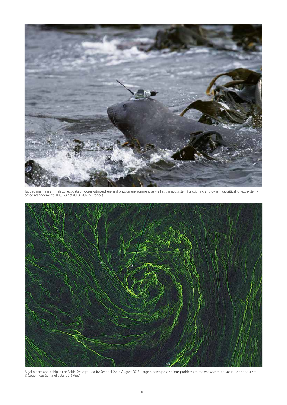

Tagged marine mammals collect data on ocean-atmosphere and physical environment, as well as the ecosystem functioning and dynamics, critical for ecosystembased management. © C. Guinet (CEBC/CNRS, France)



Algal bloom and a ship in the Baltic Sea captured by Sentinel-2A in August 2015. Large blooms pose serious problems to the ecosystem, aquaculture and tourism. © Copernicus Sentinel data (2015)/ESA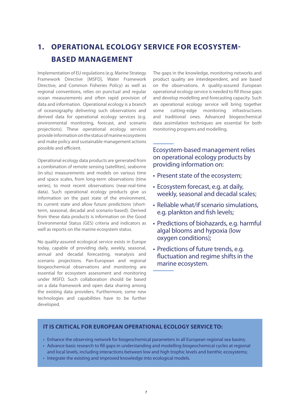## **1. OPERATIONAL ECOLOGY SERVICE FOR ECOSYSTEM-BASED MANAGEMENT**

Implementation of EU regulations (e.g. Marine Strategy Framework Directive [MSFD], Water Framework Directive, and Common Fisheries Policy) as well as regional conventions, relies on punctual and regular ocean measurements and often rapid provision of data and information. Operational ecology is a branch of oceanography delivering such observations and derived data for operational ecology services (e.g. environmental monitoring, forecast, and scenario projections). These operational ecology services provide information on the status of marine ecosystems and make policy and sustainable management actions possible and efficient.

Operational ecology data products are generated from a combination of remote sensing (satellites), seaborne (in-situ) measurements and models on various time and space scales, from long-term observations (time series), to most recent observations (near-real-time data). Such operational ecology products give us information on the past state of the environment, its current state and allow future predictions (shortterm, seasonal, decadal and scenario-based). Derived from these data products is information on the Good Environmental Status (GES) criteria and indicators as well as reports on the marine ecosystem status.

No quality-assured ecological service exists in Europe today, capable of providing daily, weekly, seasonal, annual and decadal forecasting, reanalysis and scenario projections. Pan-European and regional biogeochemical observations and monitoring are essential for ecosystem assessment and monitoring under MSFD. Such collaboration should be based on a data framework and open data sharing among the existing data providers. Furthermore, some new technologies and capabilities have to be further developed.

The gaps in the knowledge, monitoring networks and product quality are interdependent, and are based on the observations. A quality-assured European operational ecology service is needed to fill those gaps and develop modelling and forecasting capacity. Such an operational ecology service will bring together some cutting-edge monitoring infrastructures and traditional ones. Advanced biogeochemical data assimilation techniques are essential for both monitoring programs and modelling.

Ecosystem-based management relies on operational ecology products by providing information on:

- Present state of the ecosystem;
- Ecosystem forecast, e.g. at daily, weekly, seasonal and decadal scales;
- Reliable what/if scenario simulations, e.g. plankton and fish levels;
- Predictions of biohazards, e.g. harmful algal blooms and hypoxia (low oxygen conditions);
- Predictions of future trends, e.g. fluctuation and regime shifts in the marine ecosystem.

## **IT IS CRITICAL FOR EUROPEAN OPERATIONAL ECOLOGY SERVICE TO:**

- Enhance the observing network for biogeochemical parameters in all European regional sea basins;
- Advance basic research to fill gaps in understanding and modelling biogeochemical cycles at regional and local levels, including interactions between low and high trophic levels and benthic ecosystems;
- Integrate the existing and improved knowledge into ecological models.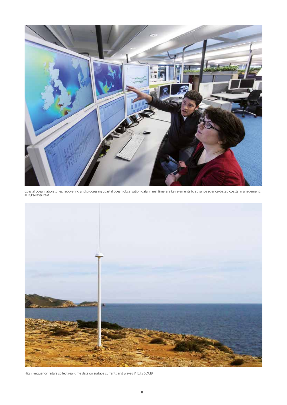

Coastal ocean laboratories, recovering and processing coastal ocean observation data in real time, are key elements to advance science-based coastal management. © Rijkswaterstaat



High Frequency radars collect real-time data on surface currents and waves © ICTS SOCIB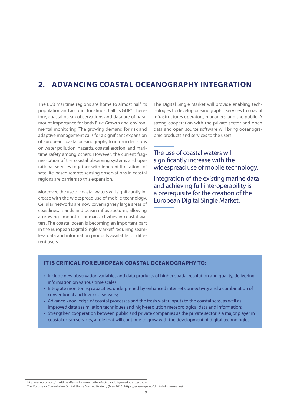## **2. ADVANCING COASTAL OCEANOGRAPHY INTEGRATION**

The EU's maritime regions are home to almost half its population and account for almost half its GDP<sup>6</sup>. Therefore, coastal ocean observations and data are of paramount importance for both Blue Growth and environmental monitoring. The growing demand for risk and adaptive management calls for a significant expansion of European coastal oceanography to inform decisions on water pollution, hazards, coastal erosion, and maritime safety among others. However, the current fragmentation of the coastal observing systems and operational services together with inherent limitations of satellite-based remote sensing observations in coastal regions are barriers to this expansion.

Moreover, the use of coastal waters will significantly increase with the widespread use of mobile technology. Cellular networks are now covering very large areas of coastlines, islands and ocean infrastructures, allowing a growing amount of human activities in coastal waters. The coastal ocean is becoming an important part in the European Digital Single Market<sup>7</sup> requiring seamless data and information products available for different users.

The Digital Single Market will provide enabling technologies to develop oceanographic services to coastal infrastructures operators, managers, and the public. A strong cooperation with the private sector and open data and open source software will bring oceanographic products and services to the users.

The use of coastal waters will significantly increase with the widespread use of mobile technology.

Integration of the existing marine data and achieving full interoperability is a prerequisite for the creation of the European Digital Single Market.

## **IT IS CRITICAL FOR EUROPEAN COASTAL OCEANOGRAPHY TO:**

- Include new observation variables and data products of higher spatial resolution and quality, delivering information on various time scales;
- Integrate monitoring capacities, underpinned by enhanced internet connectivity and a combination of conventional and low-cost sensors;
- Advance knowledge of coastal processes and the fresh water inputs to the coastal seas, as well as improved data assimilation techniques and high-resolution meteorological data and information;
- Strengthen cooperation between public and private companies as the private sector is a major player in coastal ocean services, a role that will continue to grow with the development of digital technologies.

<sup>&</sup>lt;sup>6</sup> http://ec.europa.eu/maritimeaffairs/documentation/facts\_and\_figures/index\_en.htm

<sup>7</sup> The European Commission Digital Single Market Strategy (May 2015) https://ec.europa.eu/digital-single-market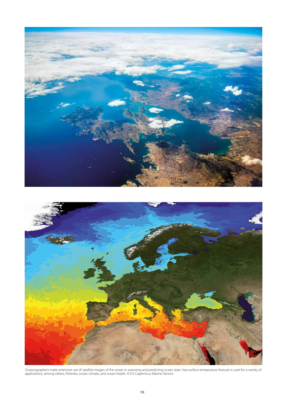

Oceanographers make extensive use of satellite images of the ocean in assessing and predicting ocean state. Sea-surface temperature forecast is used for a variety of applications, among others, fisheries, ocean climate, and ocean health. © EU Copernicus Marine Service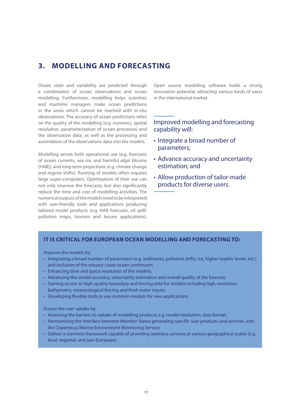## **3. MODELLING AND FORECASTING**

Ocean state and variability are predicted through a combination of ocean observations and ocean modelling. Furthermore, modelling helps scientists and maritime managers make ocean predictions in the areas which cannot be reached with in-situ observations. The accuracy of ocean predictions relies on the quality of the modelling (e.g. numerics, spatial resolution, parameterization of ocean processes) and the observation data, as well as the processing and assimilation of the observations data into the models.

Modelling serves both operational use (e.g. forecasts of ocean currents, sea ice, and harmful algal blooms [HAB]), and long-term projections (e.g. climate change and regime shifts). Running of models often requires large super-computers. Optimization of their use can not only improve the forecasts, but also significantly reduce the time and cost of modelling activities. The numerical outputs of the models need to be interpreted with user-friendly tools and applications producing tailored model products (e.g. HAB forecasts, oil spill/ pollution maps, tourism and leisure applications). Open source modelling software holds a strong innovation potential, attracting various kinds of users in the international market.

## Improved modelling and forecasting capability will:

- Integrate a broad number of parameters;
- Advance accuracy and uncertainty estimation; and
- Allow production of tailor-made products for diverse users.

#### **IT IS CRITICAL FOR EUROPEAN OCEAN MODELLING AND FORECASTING TO:**

Improve the models by:

- Integrating a broad number of parameters (e.g. sediments, pollutant drifts, ice, higher trophic levels, etc.) and inclusion of the estuary-coast-ocean continuum;
- Enhancing time and space resolution of the models;
- Advancing the model accuracy, uncertainty estimation and overall quality of the forecast;
- Gaining access to high-quality boundary and forcing data for models including high resolution bathymetry, meteorological forcing and fresh water inputs;
- Developing flexible tools to use common models for new applications.

Ensure the user uptake by:

- Assessing the barriers to uptake of modelling products e.g. model resolution, data format;
- Harmonizing the interface between Member States generating specific user products and services, and the Copernicus Marine Environment Monitoring Service;
- Deliver a common framework capable of providing seamless services at various geographical scales (e.g. local, regional, and pan-European).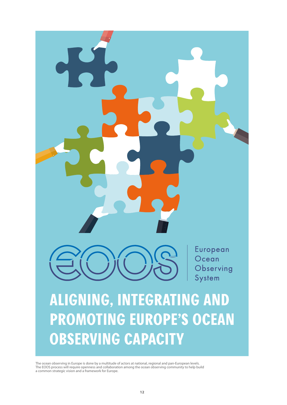

The ocean observing in Europe is done by a multitude of actors at national, regional and pan-European levels. The EOOS process will require openness and collaboration among the ocean observing community to help build a common strategic vision and a framework for Europe.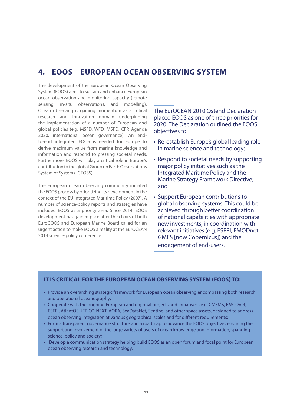## **4. EOOS – EUROPEAN OCEAN OBSERVING SYSTEM**

The development of the European Ocean Observing System (EOOS) aims to sustain and enhance European ocean observation and monitoring capacity (remote sensing, in-situ observations, and modelling). Ocean observing is gaining momentum as a critical research and innovation domain underpinning the implementation of a number of European and global policies (e.g. MSFD, WFD, MSPD, CFP, Agenda 2030, international ocean governance). An endto-end integrated EOOS is needed for Europe to derive maximum value from marine knowledge and information and respond to pressing societal needs. Furthermore, EOOS will play a critical role in Europe's contribution to the global Group on Earth Observations System of Systems (GEOSS).

The European ocean observing community initiated the EOOS process by prioritizing its development in the context of the EU Integrated Maritime Policy (2007). A number of science-policy reports and strategies have included EOOS as a priority area. Since 2014, EOOS development has gained pace after the chairs of both EuroGOOS and European Marine Board called for an urgent action to make EOOS a reality at the EurOCEAN 2014 science-policy conference.

## The EurOCEAN 2010 Ostend Declaration placed EOOS as one of three priorities for 2020. The Declaration outlined the EOOS objectives to:

- Re-establish Europe's global leading role in marine science and technology;
- Respond to societal needs by supporting major policy initiatives such as the Integrated Maritime Policy and the Marine Strategy Framework Directive; and
- Support European contributions to global observing systems. This could be achieved through better coordination of national capabilities with appropriate new investments, in coordination with relevant initiatives (e.g. ESFRI, EMODnet, GMES [now Copernicus]) and the engagement of end-users.

## **IT IS CRITICAL FOR THE EUROPEAN OCEAN OBSERVING SYSTEM (EOOS) TO:**

- Provide an overarching strategic framework for European ocean observing encompassing both research and operational oceanography;
- Cooperate with the ongoing European and regional projects and initiatives , e.g. CMEMS, EMODnet, ESFRI, AtlantOS, JERICO-NEXT, AORA, SeaDataNet, Sentinel and other space assets, designed to address ocean observing integration at various geographical scales and for different requirements;
- Form a transparent governance structure and a roadmap to advance the EOOS objectives ensuring the support and involvement of the large variety of users of ocean knowledge and information, spanning science, policy and society;
- Develop a communication strategy helping build EOOS as an open forum and focal point for European ocean observing research and technology.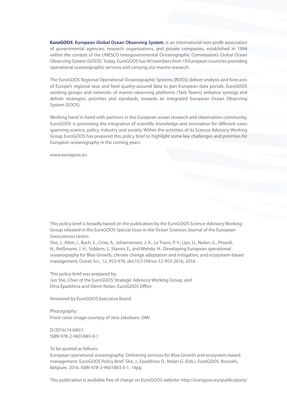**EuroGOOS**, **European Global Ocean Observing System**, is an international non-profit association of governmental agencies, research organisations, and private companies, established in 1994 within the context of the UNESCO Intergovernmental Oceanographic Commission's Global Ocean Observing System (GOOS). Today, EuroGOOS has 40 members from 19 European countries providing operational oceanographic services and carrying out marine research.

The EuroGOOS Regional Operational Oceanographic Systems (ROOS) deliver analysis and forecasts of Europe's regional seas and feed quality-assured data to pan-European data portals. EuroGOOS working groups and networks of marine observing platforms (Task Teams) enhance synergy and deliver strategies, priorities and standards, towards an integrated European Ocean Observing System (EOOS).

Working hand in hand with partners in the European ocean research and observation community, EuroGOOS is promoting the integration of scientific knowledge and innovation for different users spanning science, policy, industry and society. Within the activities of its Science Advisory Working Group EuroGOOS has prepared this policy brief to highlight some key challenges and priorities for European oceanography in the coming years.

www.eurogoos.eu

This policy brief is broadly based on the publication by the EuroGOOS Science Advisory Working Group released in the EuroGOOS Special Issue in the Ocean Sciences Journal of the European Geosciences Union:

She, J., Allen, I., Buch, E., Crise, A., Johannessen, J. A., Le Traon, P.-Y., Lips, U., Nolan, G., Pinardi, N., Reißmann, J. H., Siddorn, J., Stanev, E., and Wehde, H.: Developing European operational oceanography for Blue Growth, climate change adaptation and mitigation, and ecosystem-based management, Ocean Sci., 12, 953-976, doi:10.5194/os-12-953-2016, 2016.

This policy brief was prepared by: Jun She, Chair of the EuroGOOS Strategic Advisory Working Group, and Dina Eparkhina and Glenn Nolan, EuroGOOS Office

Reviewed by EuroGOOS Executive Board

Photography: Front cover image courtesy of Jens Jakobsen, DMI

D/2016/14.040/1 ISBN 978-2-9601883-0-1

To be quoted as follows:

European operational oceanography: Delivering services for Blue Growth and ecosystem-based management. EuroGOOS Policy Brief. She, J., Eparkhina D., Nolan G. (Eds.). EuroGOOS. Brussels, Belgium. 2016. ISBN 978-2-9601883-0-1. 14pp.

This publication is available free of charge on EuroGOOS website: http://eurogoos.eu/publications/